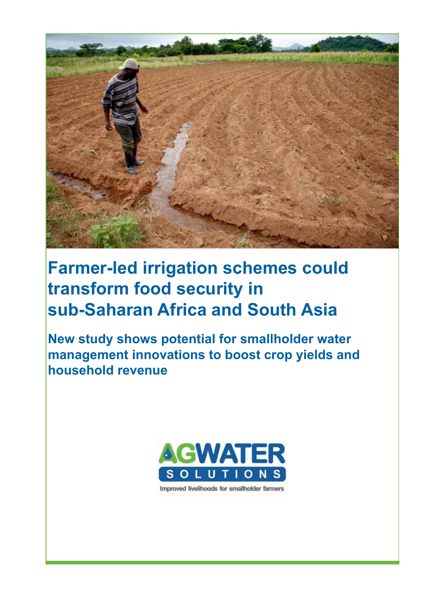

# **Farmer-led irrigation schemes could transform food security in sub-Saharan Africa and South Asia**

**New study shows potential for smallholder water management innovations to boost crop yields and household revenue**



Improved livelihoods for smallholder farmers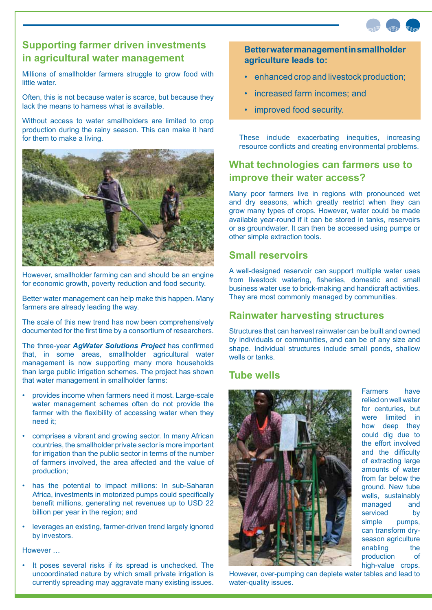

# **Supporting farmer driven investments in agricultural water management**

Millions of smallholder farmers struggle to grow food with little water.

Often, this is not because water is scarce, but because they lack the means to harness what is available.

Without access to water smallholders are limited to crop production during the rainy season. This can make it hard for them to make a living.



However, smallholder farming can and should be an engine for economic growth, poverty reduction and food security.

Better water management can help make this happen. Many farmers are already leading the way.

The scale of this new trend has now been comprehensively documented for the first time by a consortium of researchers.

The three-year *AgWater Solutions Project* has confirmed that, in some areas, smallholder agricultural water management is now supporting many more households than large public irrigation schemes. The project has shown that water management in smallholder farms:

- provides income when farmers need it most. Large-scale water management schemes often do not provide the farmer with the flexibility of accessing water when they need it;
- comprises a vibrant and growing sector. In many African countries, the smallholder private sector is more important for irrigation than the public sector in terms of the number of farmers involved, the area affected and the value of production;
- has the potential to impact millions: In sub-Saharan Africa, investments in motorized pumps could specifically benefit millions, generating net revenues up to USD 22 billion per year in the region; and
- leverages an existing, farmer-driven trend largely ignored by investors.

However …

It poses several risks if its spread is unchecked. The uncoordinated nature by which small private irrigation is currently spreading may aggravate many existing issues.

**Better water management in smallholder agriculture leads to:**

- enhanced crop and livestock production;
- increased farm incomes; and
- improved food security.

These include exacerbating inequities, increasing resource conflicts and creating environmental problems.

## **What technologies can farmers use to improve their water access?**

Many poor farmers live in regions with pronounced wet and dry seasons, which greatly restrict when they can grow many types of crops. However, water could be made available year-round if it can be stored in tanks, reservoirs or as groundwater. It can then be accessed using pumps or other simple extraction tools.

#### **Small reservoirs**

A well-designed reservoir can support multiple water uses from livestock watering, fisheries, domestic and small business water use to brick-making and handicraft activities. They are most commonly managed by communities.

#### **Rainwater harvesting structures**

Structures that can harvest rainwater can be built and owned by individuals or communities, and can be of any size and shape. Individual structures include small ponds, shallow wells or tanks.

#### **Tube wells**



Farmers have relied on well water for centuries, but were limited in how deep they could dig due to the effort involved and the difficulty of extracting large amounts of water from far below the ground. New tube wells, sustainably managed and serviced by simple pumps, can transform dryseason agriculture enabling the production of high-value crops.

However, over-pumping can deplete water tables and lead to water-quality issues.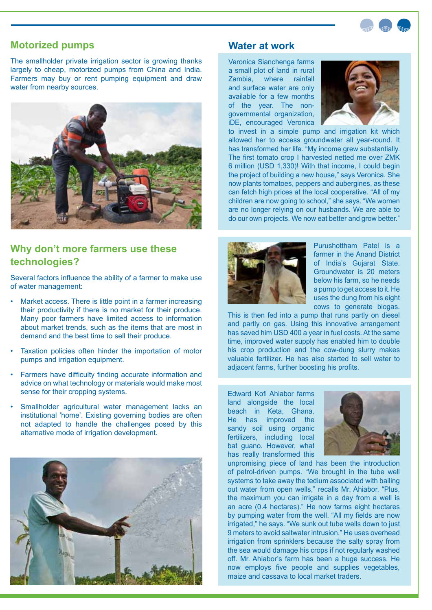

#### **Motorized pumps**

The smallholder private irrigation sector is growing thanks largely to cheap, motorized pumps from China and India. Farmers may buy or rent pumping equipment and draw water from nearby sources.



### **Why don't more farmers use these technologies?**

Several factors influence the ability of a farmer to make use of water management:

- Market access. There is little point in a farmer increasing their productivity if there is no market for their produce. Many poor farmers have limited access to information about market trends, such as the items that are most in demand and the best time to sell their produce.
- Taxation policies often hinder the importation of motor pumps and irrigation equipment.
- Farmers have difficulty finding accurate information and advice on what technology or materials would make most sense for their cropping systems.
- Smallholder agricultural water management lacks an institutional 'home'. Existing governing bodies are often not adapted to handle the challenges posed by this alternative mode of irrigation development.



#### **Water at work**

Veronica Sianchenga farms a small plot of land in rural Zambia, where rainfall and surface water are only available for a few months of the year. The nongovernmental organization, iDE, encouraged Veronica



to invest in a simple pump and irrigation kit which allowed her to access groundwater all year-round. It has transformed her life. "My income grew substantially. The first tomato crop I harvested netted me over ZMK 6 million (USD 1,330)! With that income, I could begin the project of building a new house," says Veronica. She now plants tomatoes, peppers and aubergines, as these can fetch high prices at the local cooperative. "All of my children are now going to school," she says. "We women are no longer relying on our husbands. We are able to do our own projects. We now eat better and grow better."



Purushottham Patel is a farmer in the Anand District of India's Gujarat State. Groundwater is 20 meters below his farm, so he needs a pump to get access to it. He uses the dung from his eight cows to generate biogas.

This is then fed into a pump that runs partly on diesel and partly on gas. Using this innovative arrangement has saved him USD 400 a year in fuel costs. At the same time, improved water supply has enabled him to double his crop production and the cow-dung slurry makes valuable fertilizer. He has also started to sell water to adjacent farms, further boosting his profits.

Edward Kofi Ahiabor farms land alongside the local beach in Keta, Ghana. He has improved the sandy soil using organic fertilizers, including local bat guano. However, what has really transformed this



unpromising piece of land has been the introduction of petrol-driven pumps. "We brought in the tube well systems to take away the tedium associated with bailing out water from open wells," recalls Mr. Ahiabor. "Plus, the maximum you can irrigate in a day from a well is an acre (0.4 hectares)." He now farms eight hectares by pumping water from the well. "All my fields are now irrigated," he says. "We sunk out tube wells down to just 9 meters to avoid saltwater intrusion." He uses overhead irrigation from sprinklers because the salty spray from the sea would damage his crops if not regularly washed off. Mr. Ahiabor's farm has been a huge success. He now employs five people and supplies vegetables, maize and cassava to local market traders.